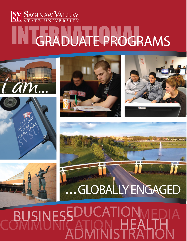# INTGRADUATE PROGRAMS











### ADMINISTRATION BUSINESS WUCATIONMED EDUCATION COMMUNICATION MEDIA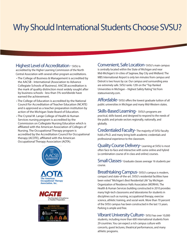# Why Should International Students Choose SVSU?

#### Highest Level of Accreditation - SVSU is

accredited by the Higher Learning Commission of the North Central Association with several other program accreditations.

- The College of Business & Management is accredited by the AACSB - International (Association to Advance Collegiate Schools of Business). AACSB accreditation is the mark of quality distinction most widely sought after by business schools - less than 5% worldwide have earned the achievement.
- The College of Education is accredited by the National Council for Accreditation of Teacher Education (NCATE) and is approved as a teacher preparation institution by action of the Michigan State Board of Education.
- The Crystal M. Lange College of Health & Human Services nursing program is accredited by the Commission on Collegiate Nursing Education which is affiliated with the American Association of Colleges of Nursing. The Occupational Therapy program is accredited by the Accreditation Council for Occupational therapy (ACOTE), affiliated with the American Occupational Therapy Association (AOTA).



Convenient, Safe Location- SVSU's main campus is centrally located within the State of Michigan and near Mid-Michigan's tri-cities of Saginaw, Bay City and Midland. The MBS International Airport is only ten minutes from campus and Detroit is two hours by car. Our campus and surrounding area are extremely safe. SVSU ranks 12th on the "Top Ranked Universities in Michigan – Highest Safety Rating" list from stateuniversity.com.

Affordable- SVSU offers the lowest graduate tuition of all public universities in Michigan and many Mid-Western states.

Skills-Based Learning- SVSU's programs are practical, skills-based, and designed to respond to the needs of the public and private sectors regionally, nationally, and globally.

Credentialed Faculty-The majority of SVSU faculty hold a Ph.D. and many bring both academic credentials and professional experience to the classroom.

Quality Course Delivery-Learning at SVSU is most often face-to-face and interactive with some online and hybrid (a combination course of in-class and online) courses.

Small Classes- Graduate classes average 16 students per course.

Breathtaking Campus- SVSU's campus is modern, compact and state-of-the-art. SVSU's residential facilities have been voted "Michigan's Best Residential Life" by Michigan Organization of Residence Halls Association (MORHA). The Health & Human Services building constructed in 2010 provides many high-tech classrooms and laboratories for students in disciplines such as nursing, occupational therapy, exercise science, athletic training, and social work. More than 70 percent of the SVSU campus has been constructed in the last 15 years. Parking is ample and free.

Vibrant University Culture- SVSU has over 10,000 students, including more than 600 international students from 29 countries. You can expect a rich campus culture with concerts, guest lectures, theatrical performances, and many athletic programs.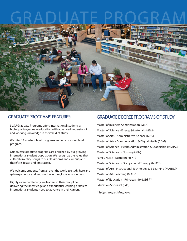# GRADUATE PROGRAM



#### GRADUATE PROGRAMS FEATURES:

- SVSU Graduate Programs offers international students a high-quality graduate education with advanced understanding and working knowledge in their field of study.
- We offer 11 master's level programs and one doctoral level program.
- Our diverse graduate programs are enriched by our growing international student population. We recognize the value that cultural diversity brings to our classrooms and campus, and therefore, foster and embrace it.
- We welcome students from all over the world to study here and gain experience and knowledge in the global environment.
- Highly esteemed faculty are leaders in their discipline, delivering the knowledge and experiential learning practices international students need to advance in their careers.

#### GRADUATE DEGREE PROGRAMS OF STUDY

Master of Business Administration (MBA) Master of Science - Energy & Materials (MEM) Master of Arts - Administrative Science (MAS) Master of Arts - Communication & Digital Media (CDM) Master of Science - Health Administration & Leadership (MSHAL) Master of Science in Nursing (MSN) Family Nurse Practitioner (FNP) Master of Science in Occupational Therapy (MSOT) Master of Arts- Instructional Technology & E-Learning (MAITEL)\* Master of Arts Teaching (MAT)\* Master of Education - Principalship (MEd-P)\* Education Specialist (EdS)

\**Subject to special approval*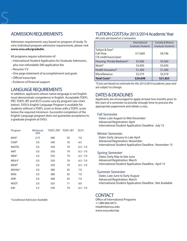#### ADMISSION REQUIREMENTS

Admission requirements vary based on program of study. To view individual program admission requirements, please visit **www.svsu.edu/gradadm**.

All programs require submission of:

- International Student Application for Graduate Admission, plus non-refundable \$80 application fee
- Resume/ CV

S

- One page statement of accomplishment and goals
- Official transcripts
- Evidence of financial support

#### LANGUAGE REQUIREMENTS

In addition, applicants whose native language is not English must demonstrate competence in English. Acceptable TOEFL PBT, TOEFL IBT and IELTS scores vary by program (see chart below). SVSU's English Language Program is available for students without a TOEFL score or those with a TOEFL score below the required minimum. Successful completion of the English Language program does not guarantee acceptance to a graduate program at SVSU.

| Program          | Minimum<br><b>GPA</b> | TOEFL PBT TOEFL IBT |    | <b>IELTS</b> |
|------------------|-----------------------|---------------------|----|--------------|
| MAS*             | 2.75                  | 580                 | 92 | 7.0          |
| CDM <sup>*</sup> | 3.0                   | 540                 | 76 | 6.5          |
| MAITEL           | 3.0                   | 550                 | 79 | $6.5 - 7.0$  |
| MAT              | 3.0                   | 550                 | 79 | $6.5 - 7.0$  |
| MBA*             | 3.0                   | 550                 | 79 | $6.5 - 7.0$  |
| MEd-P            | 3.0                   | 550                 | 79 | $6.5 - 7.0$  |
| MEM*             | 3.0                   | 550                 | 79 | $6.5 - 7.0$  |
| MSHAL*           | 3.0                   | 580                 | 92 | 7.0          |
| <b>MSN</b>       | 3.0                   | 580                 | 92 | 7.0          |
| <b>DNP</b>       | 3.0                   | 580                 | 92 | 7.0          |
| <b>MSOT</b>      | 3.0                   | 525                 | 71 | 6.0          |
| EdS              | 3.3                   | 550                 | 79 | $6.5 - 7.0$  |

\**Conditional Admission Available*

#### TUITION COSTS for 2013/2014 Academic Year

*All costs are based on 2 semesters*

|                                                        | International            | Canada & Mexico          |
|--------------------------------------------------------|--------------------------|--------------------------|
|                                                        | <b>Graduate Students</b> | <b>Graduate Students</b> |
| Tuition & Fees*<br>Full-Time<br>(18 credit hours/year) | \$17,069                 | \$9,196                  |
| Housing-Private Bedroom*                               | \$5,560                  | \$5,560                  |
| Meals*                                                 | \$3,450                  | \$3,450                  |
| Health Insurance*                                      | \$1,300                  | \$1,300                  |
| Miscellaneous                                          | \$2,319                  | \$2,319                  |
| <b>Total Costs*</b>                                    | \$29,698                 | \$21,825                 |

*\*Costs are based on estimate for the 2013/2014 academic year and are subject to change.*

#### DATES & DEADLINES

Applicants are encouraged to apply at least two months prior to the start of a semester to provide enough time to process the appropriate paperwork and obtain a visa.

#### Fall Semester

Dates: Late August to Mid-December Advanced Registration: April International Student Application Deadline: July 15

#### Winter Semester

Dates: Early January to Late April Advanced Registration: November International Student Application Deadline: November 15

#### Spring Semester

Dates: Early May to late June Advanced Registration: March International Student Application Deadline: April 15

#### Summer Semester

Dates: Late June to Early August Advanced Registration: March International Student Application Deadline: Not Available

#### **CONTACT**

Office of International Programs +1.989.964.4473 intadmit@svsu.edu www.svsu.edu/oip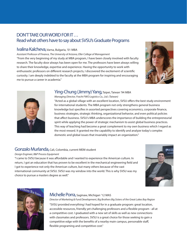#### DON'T TAKE OUR WORD FOR IT . . . Read what others have to say about SVSU's Graduate Programs

#### Ivalina Kalcheva, Varna, Bulgaria, '01 MBA

*Assistant Professor of Finance, The University of Arizona, Eller College of Management* "From the very beginning of my study at MBA program, I have been closely involved with faculty research. The faculty door always has been open for me. The professors have been always willing to share their knowledge, expertise and experience. Having the opportunity to work with enthusiastic professors on different research projects, I discovered the excitement of scientific curiosity. I am deeply indebted to the faculty at the MBA program for inspiring and encouraging me to pursue a career in academia."





#### Ying-Chung (Jimmy) Yang, Taipei, Taiwan '94 MBA

*Managing Director, Fracht FWO Logistics Co., Ltd. (Taiwan)* "Acted as a global village with an excellent location, SVSU offers the best study environment for international students. The MBA program not only strengthens general business knowledge but specifies in assorted perspectives covering economics, corporate finance, business strategies, strategic thinking, organizational behavior, and even political policies that affect business. SVSU's MBA underscores the importance of building the entrepreneurial spirit while applying the power of strategic mechanism to assist global business practices. This way of teaching had become a great complement to my own business which I regard as the most reward. It granted me the capability to identify and analyze today's complex domestic and global issues that invariably impact an organization."

#### Gonzalo Murlanda, Cali, Colombia, current MEM student

*Design Engineer, B&P Process Equipment*

"I came to SVSU because it was affordable and I wanted to experience the American culture. In return, I got an education that has proven to be excellent in the mechanical engineering field and I got to experience not only the American culture, but many others because of the vast international community at SVSU. SVSU was my window into the world. This is why SVSU was my choice to pursue a masters degree as well."





#### Michelle Porra, Saginaw, Michigan '12 MAS

*Director of Marketing & Fund Development, Big Brothers Big Sisters of the Great Lakes Bay Region*

"SVSU provided everything I had hoped for in a graduate program: great location, accessible resources, friendly yet challenging professors and a flexible program - all at a competitive cost. I graduated with a new set of skills as well as new connections with classmates and professors. SVSU is a great choice for those seeking to gain a competitive edge with the benefits of a nearby main campus, personable staff, flexible programing and competitive cost."